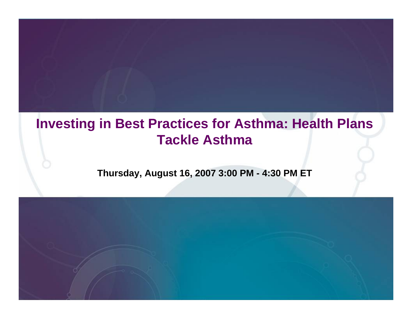## **Investing in Best Practices for Asthma: Health Plans Tackle Asthma**

#### **Thursday, August 16, 2007 3:00 PM - 4:30 PM ET**

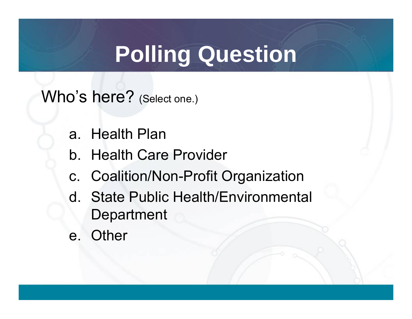Who's here? (Select one.)

- a. Health Plan
- b. Health Care Provider
- c. Coalition/Non-Profit Organization
- d. State Public Health/Environmental **Department**
- e. Other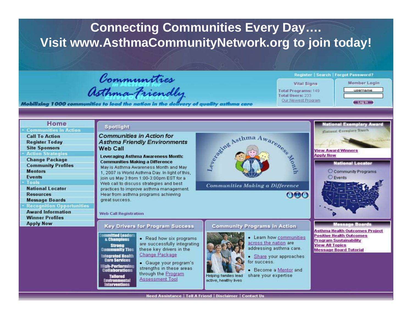#### **Connecting Communities Every Day....** Visit www.AsthmaCommunityNetwork.org to join today!

Communities<br>Asthma-Friendly

Mobilizing 1000 communities to lead the nation in the delivery of auglity asthma care

#### **Register | Search | Forgot Password?**

| <b>Vital Signs</b> |                     |  |  |  |
|--------------------|---------------------|--|--|--|
|                    | Total Programs: 149 |  |  |  |
|                    | Total Users: 233    |  |  |  |
|                    | Our Newest Procram  |  |  |  |

 $000$ 

Member Login username  $-$  Logina

**National Exemplary Award** 

Cational Exemplary Truarb

| поне                             |
|----------------------------------|
| <b>Communities in Action</b>     |
| <b>Call To Action</b>            |
| <b>Register Today</b>            |
| <b>Site Sponsors</b>             |
| <b>Action Strategies</b>         |
| <b>Change Package</b>            |
| <b>Community Profiles</b>        |
| <b>Mentors</b>                   |
| <b>Events</b>                    |
| Tools                            |
| <b>National Locator</b>          |
| <b>Resources</b>                 |
| <b>Message Boards</b>            |
| <b>Recognition Opportunities</b> |
| <b>Award Information</b>         |
| <b>Winner Profiles</b>           |
| <b>Apply Now</b>                 |
|                                  |
|                                  |
|                                  |
|                                  |
|                                  |
|                                  |
|                                  |
|                                  |

**TT-**

#### Spotlight

**Communities in Action for Asthma Friendly Environments Web Call** 

Leveraging Asthma Awareness Month: **Communities Making a Difference** May is Asthma Awareness Month and May 1. 2007 is World Asthma Day. In light of this. join us May 3 from 1:00-3:00pm EST for a Web call to discuss strategies and best practices to improve asthma management. Hear from asthma programs achieving great success.

# Sevente Asthma Awareness

**Communities Making a Difference** 

#### **Web Call Registration**

ommitted Leader

**s Champions** 

**Strong** 

**itegrated Health** 

**Care Services** 

ligh-Performing<br>Collaborations

**Tallored** 

**Environmental**<br>Interventions

#### **Key Drivers for Program Success**

• Read how six programs are successfully integrating these key drivers in the **Community Ties** Change Package

> · Gauge your program's strengths in these areas through the Program **Assessment Tool**

#### **Community Programs in Action**



active, healthy lives

• Learn how communities across the nation are addressing asthma care.

- Share your approaches for success.
- Become a Mentor and share your expertise

#### **View Award Winners Apply Now National Locator** C Community Programs **O** Events Message Board **Asthma Health Outcomes Project Positive Health Outcomes Program Sustainability View All Topics Message Board Tutorial**

Need Assistance | Tell A Friend | Disclaimer | Contact Us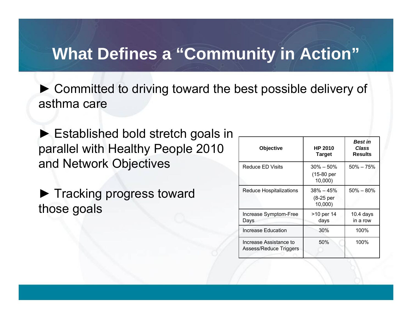## **What Defines a "Community in Action"**

► Committed to driving toward the best possible delivery of asthma care

► Established bold stretch goals in parallel with Healthy People 2010 and Network Objectives

► Tracking progress toward those goals

| Objective                                        | <b>HP 2010</b><br><b>Target</b>         | <b>Best in</b><br>Class<br><b>Results</b> |
|--------------------------------------------------|-----------------------------------------|-------------------------------------------|
| Reduce ED Visits                                 | $30\% - 50\%$<br>(15-80 per<br>10,000)  | $50\% - 75\%$                             |
| Reduce Hospitalizations                          | $38\% - 45\%$<br>$(8-25$ per<br>10,000) | $50\% - 80\%$                             |
| Increase Symptom-Free<br>Days                    | >10 per 14<br>days                      | $10.4$ days<br>in a row                   |
| Increase Education                               | 30%                                     | 100%                                      |
| Increase Assistance to<br>Assess/Reduce Triggers | 50%                                     | 100%                                      |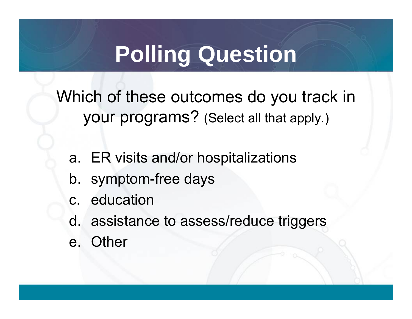Which of these outcomes do you track in your programs? (Select all that apply.)

- a. ER visits and/or hospitalizations
- b. symptom-free days
- c. education
- d. assistance to assess/reduce triggers
- e. Other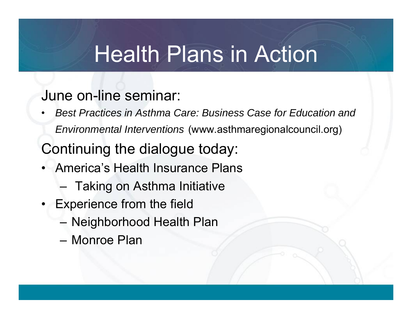## Health Plans in Action

### June on-line seminar:

 $\bullet$  *Best Practices in Asthma Care: Business Case for Education and Environmental Interventions* (www.asthmaregionalcouncil.org)

Continuing the dialogue today:

- America's Health Insurance Plans
	- Taking on Asthma Initiative
- • Experience from the field
	- Neighborhood Health Plan
	- Monroe Plan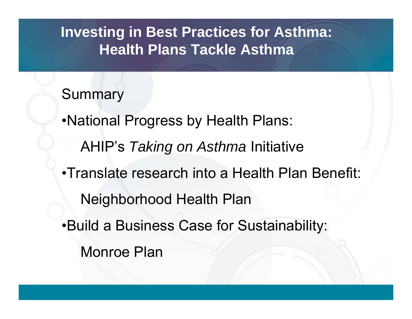## **Investing in Best Practices for Asthma: Health Plans Tackle Asthma**

## Summary

•National Progress by Health Plans: AHIP's *Taking on Asthma* Initiative •Translate research into a Health Plan Benefit: Neighborhood Health Plan •Build a Business Case for Sustainability: Monroe Plan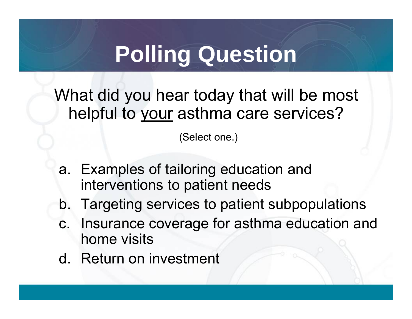What did you hear today that will be most helpful to your asthma care services?

(Select one.)

- a. Examples of tailoring education and interventions to patient needs
- b. Targeting services to patient subpopulations
- c. Insurance coverage for asthma education and home visits
- d. Return on investment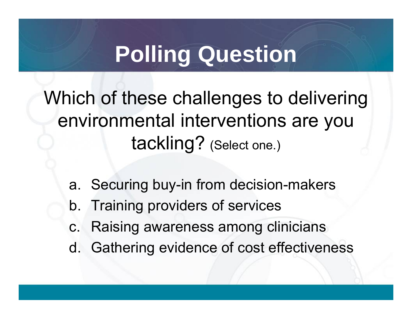Which of these challenges to delivering environmental interventions are you tackling? (Select one.)

- a. Securing buy-in from decision-makers
- b. Training providers of services
- c. Raising awareness among clinicians
- d. Gathering evidence of cost effectiveness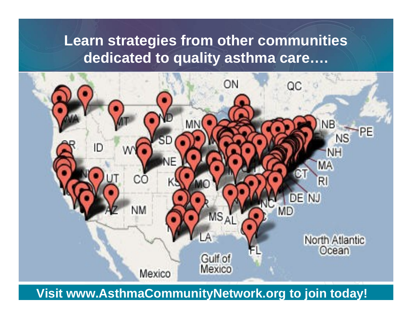## Learn strategies from other communities dedicated to quality asthma care....



Visit www.AsthmaCommunityNetwork.org to join today!